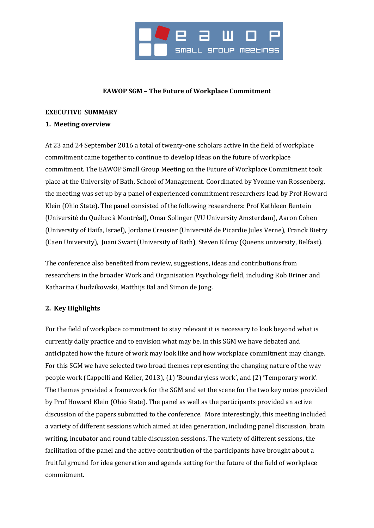

### **EAWOP SGM – The Future of Workplace Commitment**

### **EXECUTIVE SUMMARY**

### **1. Meeting overview**

At 23 and 24 September 2016 a total of twenty-one scholars active in the field of workplace commitment came together to continue to develop ideas on the future of workplace commitment. The EAWOP Small Group Meeting on the Future of Workplace Commitment took place at the University of Bath, School of Management. Coordinated by Yvonne van Rossenberg, the meeting was set up by a panel of experienced commitment researchers lead by Prof Howard Klein (Ohio State). The panel consisted of the following researchers: Prof Kathleen Bentein (Université du Québec à Montréal), Omar Solinger (VU University Amsterdam), Aaron Cohen (University of Haifa, Israel), Jordane Creusier (Université de Picardie Jules Verne), Franck Bietry (Caen University), Juani Swart (University of Bath), Steven Kilroy (Queens university, Belfast).

The conference also benefited from review, suggestions, ideas and contributions from researchers in the broader Work and Organisation Psychology field, including Rob Briner and Katharina Chudzikowski, Matthijs Bal and Simon de Jong.

# **2. Key Highlights**

For the field of workplace commitment to stay relevant it is necessary to look beyond what is currently daily practice and to envision what may be. In this SGM we have debated and anticipated how the future of work may look like and how workplace commitment may change. For this SGM we have selected two broad themes representing the changing nature of the way people work (Cappelli and Keller, 2013), (1) 'Boundaryless work', and (2) 'Temporary work'. The themes provided a framework for the SGM and set the scene for the two key notes provided by Prof Howard Klein (Ohio State). The panel as well as the participants provided an active discussion of the papers submitted to the conference. More interestingly, this meeting included a variety of different sessions which aimed at idea generation, including panel discussion, brain writing, incubator and round table discussion sessions. The variety of different sessions, the facilitation of the panel and the active contribution of the participants have brought about a fruitful ground for idea generation and agenda setting for the future of the field of workplace commitment.